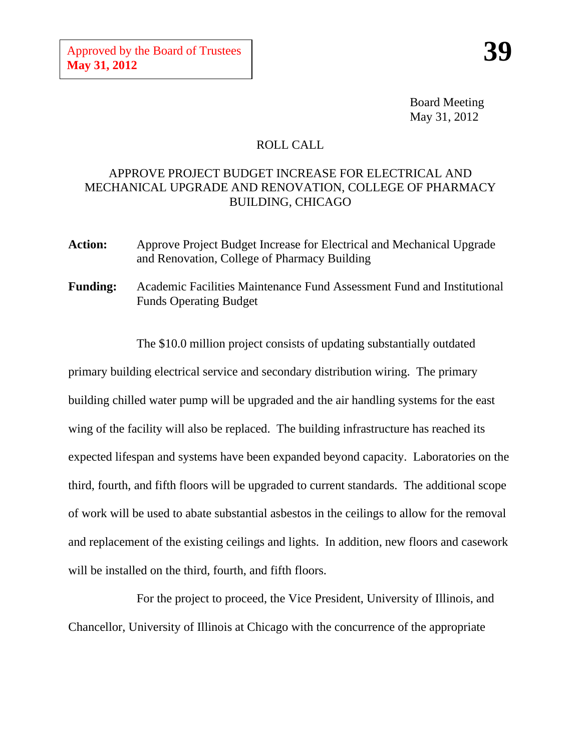Board Meeting May 31, 2012

## ROLL CALL

## APPROVE PROJECT BUDGET INCREASE FOR ELECTRICAL AND MECHANICAL UPGRADE AND RENOVATION, COLLEGE OF PHARMACY BUILDING, CHICAGO

- **Action:** Approve Project Budget Increase for Electrical and Mechanical Upgrade and Renovation, College of Pharmacy Building
- **Funding:** Academic Facilities Maintenance Fund Assessment Fund and Institutional Funds Operating Budget

The \$10.0 million project consists of updating substantially outdated primary building electrical service and secondary distribution wiring. The primary building chilled water pump will be upgraded and the air handling systems for the east wing of the facility will also be replaced. The building infrastructure has reached its expected lifespan and systems have been expanded beyond capacity. Laboratories on the third, fourth, and fifth floors will be upgraded to current standards. The additional scope of work will be used to abate substantial asbestos in the ceilings to allow for the removal and replacement of the existing ceilings and lights. In addition, new floors and casework will be installed on the third, fourth, and fifth floors.

For the project to proceed, the Vice President, University of Illinois, and Chancellor, University of Illinois at Chicago with the concurrence of the appropriate